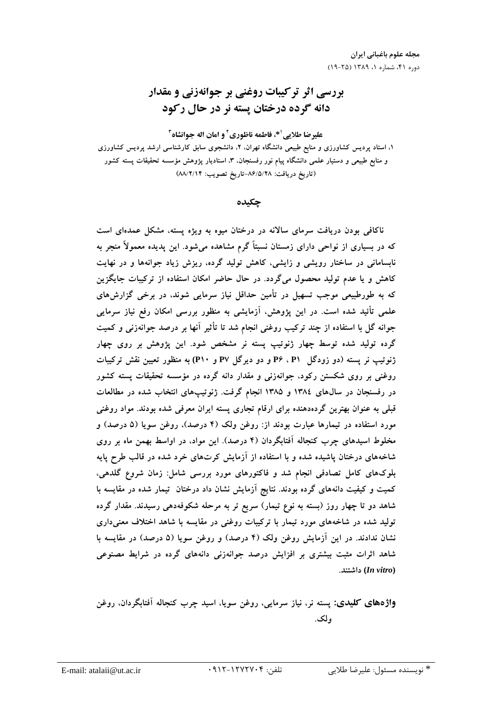# بررسي اثر تركيبات روغني بر جوانهزني و مقدار دانه گرده درختان پسته نر در حال رکود

علير ضا طلايي '\*، فاطمه ناظوري ' و امان اله جوانشاه ''

۱، استاد پردیس کشاورزی و منابع طبیعی دانشگاه تهران، ۲، دانشجوی سابق کارشناسی ارشد پردیس کشاورزی و منابع طبیعی و دستیار علمی دانشگاه پیام نور رفسنجان، ۳، استادیار پژوهش مؤسسه تحقیقات پسته کشور (تاريخ دريافت: ٨۶/٥/٢٨-تاريخ تصويب: ٨٨/٢/١۴)

جكىدە

ناکافی بودن دریافت سرمای سالانه در درختان میوه به ویژه پسته، مشکل عمدهای است که در بسیاری از نواحی دارای زمستان نسبتاً گرم مشاهده می شود. این پدیده معمولاً منجر به نابسامانی در ساختار رویشی و زایشی، کاهش تولید گرده، ریزش زیاد جوانهها و در نهایت کاهش و یا عدم تولید محصول میگردد. در حال حاضر امکان استفاده از ترکیبات جایگزین که به طورطبیعی موجب تسهیل در تأمین حداقل نیاز سرمایی شوند، در برخی گزارش های علمی تأئید شده است. در این پژوهش، آزمایشی به منظور بررسی امکان رفع نیاز سرمایی جوانه گل با استفاده از چند ترکیب روغنی انجام شد تا تأثیر آنها بر درصد جوانهزنی و کمیت گرده تولید شده توسط چهار ژنوتیپ پسته نر مشخص شود. این پژوهش بر روی چهار ژنوتیپ نر پسته (دو زودگل P۶ ، P۱ و دو دیرگل P۷ و P۱۰) به منظور تعیین نقش ترکیبات روغنی بر روی شکستن رکود، جوانهزنی و مقدار دانه گرده در مؤسسه تحقیقات پسته کشور در رفسنجان در سالهای ۱۳۸٤ و ۱۳۸۵ انجام گرفت. ژنوتیپهای انتخاب شده در مطالعات قبلی به عنوان بهترین گردهدهنده برای ارقام تجاری پسته ایران معرفی شده بودند. مواد روغنی مورد استفاده در تیمارها عبارت بودند از: روغن ولک (۴ درصد)، روغن سویا (۵ درصد) و مخلوط اسیدهای چرب کنجاله آفتابگردان (۴ درصد). این مواد، در اواسط بهمن ماه بر روی شاخههای درختان یاشیده شده و با استفاده از آزمایش کرتهای خرد شده در قالب طرح پایه بلوکهای کامل تصادفی انجام شد و فاکتورهای مورد بررسی شامل: زمان شروع گلدهی، کمیت و کیفیت دانههای گرده بودند. نتایج آزمایش نشان داد درختان تیمار شده در مقایسه با شاهد دو تا چهار روز (بسته به نوع تیمار) سریع تر به مرحله شکوفهدهی رسیدند. مقدار گرده تولید شده در شاخههای مورد تیمار با ترکیبات روغنی در مقایسه با شاهد اختلاف معنی داری نشان ندادند. در این آزمایش روغن ولک (۴ درصد) و روغن سویا (۵ درصد) در مقایسه با شاهد اثرات مثبت بیشتری بر افزایش درصد جوانهزنی دانههای گرده در شرایط مصنوعی (In vitro) داشتند.

واژههای کلیدی: پسته نر، نیاز سرمایی، روغن سویا، اسید چرب کنجاله أفتابگردان، روغن ولک.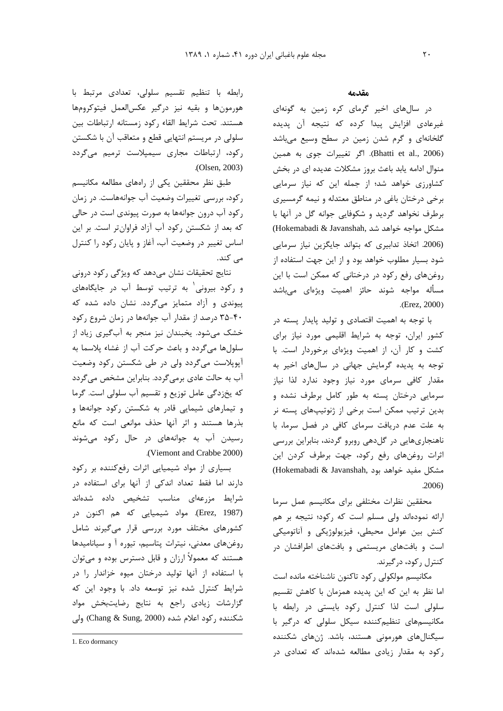رابطه با تنظيم تقسيم سلولي، تعدادى مرتبط با هورمونها وبقيه نيز دركير عكسالعمل فيتوكرومها هستند. تحت شرايط القاء ركود زمستانه ارتباطات بين سلولی در مریستم انتهایی قطع و متعاقب آن با شکستن رکود، ارتباطات مجاری سیمیلاست ترمیم می گردد .(Olsen, 2003)

طبق نظر محققین یکی از راههای مطالعه مکانیسم رکود، بررسی تغییرات وضعیت آب جوانههاست. در زمان رکود آب درون جوانهها به صورت پیوندی است در حالی که بعد از شکستن رکود آب آزاد فراوانتر است. بر این اساس تغییر در وضعیت آب، آغاز و پایان رکود را کنترل مے کند.

نتایج تحقیقات نشان میدهد که ویژگی رکود درونی و رکود بیرونی به ترتیب توسط آب در جایگاههای پیوندی و آزاد متمایز میگردد. نشان داده شده که ۴۰-۳۵ درصد از مقدار آب جوانهها در زمان شروع رکود خشک میشود. یخبندان نیز منجر به آبگیری زیاد از سلولها مي گردد و باعث حركت آب از غشاء پلاسما به آپوپلاست میگردد ولی در طی شکستن رکود وضعیت آب به حالت عادی برمیگردد. بنابراین مشخص میگردد که یخزدگی عامل توزیع و تقسیم آب سلولی است. گرما و تیمارهای شیمایی قادر به شکستن رکود جوانهها و بذرها هستند و اثر آنها حذف موانعی است که مانع رسیدن آب به جوانههای در حال رکود می شوند .(Viemont and Crabbe 2000)

بسیاری از مواد شیمیایی اثرات رفع کننده بر رکود دارند اما فقط تعداد اندکی از آنها برای استفاده در شرایط مزرعهای مناسب تشخیص داده شدهاند (Erez, 1987). مواد شیمیایی که هم اکنون در کشورهای مختلف مورد بررسی قرار میگیرند شامل روغنهای معدنی، نیترات پتاسیم، تیوره آ و سیانامیدها هستند که معمولاً ارزان و قابل دسترس بوده و میتوان با استفاده از آنها تولید درختان میوه خزاندار را در شرایط کنترل شده نیز توسعه داد. با وجود این که گزارشات زیادی راجع به نتایج رضایتبخش مواد شكننده ركود اعلام شده (Chang & Sung, 2000) ولي

#### مقدمه

در سال های اخیر گرمای کره زمین به گونهای غیرعادی افزایش پیدا کرده که نتیجه آن پدیده گلخانهای و گرم شدن زمین در سطح وسیع میباشد (Bhatti et al., 2006). اگر تغییرات جوی به همین منوال ادامه یابد باعث بروز مشکلات عدیده ای در بخش کشاورزی خواهد شد؛ از جمله این که نیاز سرمایی برخی درختان باغی در مناطق معتدله و نیمه گرمسیری برطرف نخواهد گردید و شکوفایی جوانه گل در آنها با (Hokemabadi & Javanshah, مشكل مواجه خواهد شد (2006. اتخاذ تدابیری که بتواند جایگزین نیاز سرمایی شود بسیار مطلوب خواهد بود و از این جهت استفاده از روغنهای رفع رکود در درختانی که ممکن است با این مسأله مواجه شوند حائز اهميت ويژهاى مىباشد  $(Erez, 2000)$ 

با توجه به اهمیت اقتصادی و تولید پایدار پسته در کشور ایران، توجه به شرایط اقلیمی مورد نیاز برای کشت و کار آن، از اهمیت ویژهای برخوردار است. با توجه به پدیده گرمایش جهانی در سالهای اخیر به مقدار کافی سرمای مورد نیاز وجود ندارد لذا نیاز سرمایی درختان پسته به طور کامل برطرف نشده و بدین ترتیب ممکن است برخی از ژنوتیپهای پسته نر به علت عدم دریافت سرمای کافی در فصل سرما، با ناهنجاریهایی در گل دهی روبرو گردند، بنابراین بررسی اثرات روغنهای رفع رکود، جهت برطرف کردن این (Hokemabadi & Javanshah, مشكل مفيد خواهد بود  $.2006)$ 

محققین نظرات مختلفی برای مکانیسم عمل سرما ارائه نمودهاند ولی مسلم است که رکود؛ نتیجه بر هم کنش بین عوامل محیطی، فیزیولوژیکی و آناتومیکی است و بافتهای مریستمی و بافتهای اطرافشان در کنترل رکود، در گیرند.

مكانيسم مولكولى ركود تاكنون ناشناخته مانده است اما نظر به این که این یدیده همزمان با کاهش تقسیم سلولی است لذا کنترل رکود بایستی در رابطه با مکانیسمهای تنظیم کننده سیکل سلولی که درگیر با سیگنالهای هورمونی هستند، باشد. ژنهای شکننده رکود به مقدار زیادی مطالعه شدهاند که تعدادی در

<sup>1.</sup> Eco dormancy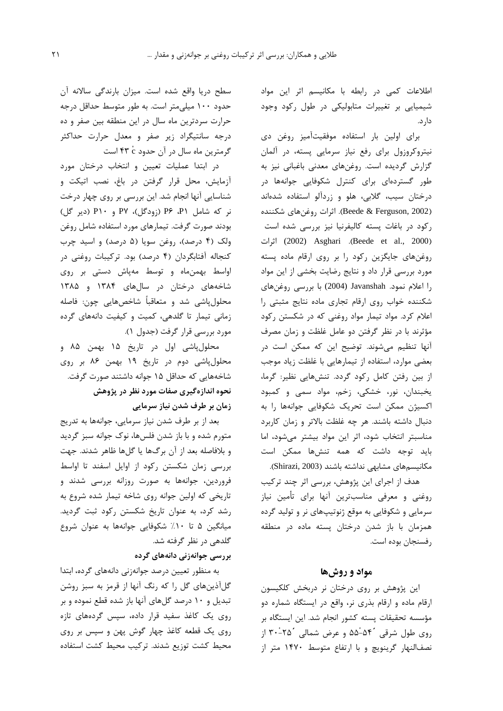اطلاعات کمی در رابطه با مکانیسم اثر این مواد شیمیایی بر تغییرات متابولیکی در طول رکود وجود دار د.

برای اولین بار استفاده موفقیتآمیز روغن دی نیتروکروزول برای رفع نیاز سرمایی پسته، در آلمان گزارش گردیده است. روغنهای معدنی باغبانی نیز به طور گستردهای برای کنترل شکوفایی جوانهها در درختان سیب، گلابی، هلو و زردآلو استفاده شدهاند (Beede & Ferguson, 2002). اثرات روغنهای شکننده رکود در باغات پسته کالیفرنیا نیز بررسی شده است (2002) Asghari (Beede et al., 2000) اثرات روغنهای جایگزین رکود را بر روی ارقام ماده پسته مورد بررسی قرار داد و نتایج رضایت بخشی از این مواد را اعلام نمود. Javanshah (2004) با بررسی روغنهای شکننده خواب روی ارقام تجاری ماده نتایج مثبتی را اعلام کرد. مواد تیمار مواد روغنی که در شکستن رکود مؤثرند با در نظر گرفتن دو عامل غلظت و زمان مصرف آنها تنظیم می شوند. توضیح این که ممکن است در بعضی موارد، استفاده از تیمارهایی با غلظت زیاد موجب از بین رفتن کامل رکود گردد. تنشهایی نظیر: گرما، يخبندان، نور، خشكى، زخم، مواد سمى و كمبود اکسیژن ممکن است تحریک شکوفایی جوانهها را به دنبال داشته باشند. هر چه غلظت بالاتر و زمان كاربرد مناسبتر انتخاب شود، اثر این مواد بیشتر میشود، اما باید توجه داشت که همه تنشها ممکن است مكانيسمهاي مشابهي نداشته باشند (Shirazi, 2003).

هدف از اجرای این پژوهش، بررسی اثر چند ترکیب روغنی و معرفی مناسبترین آنها برای تأمین نیاز سرمایی و شکوفایی به موقع ژنوتیپهای نر و تولید گرده همزمان با باز شدن درختان پسته ماده در منطقه , فسنجان بوده است.

#### مواد و روشها

این پژوهش بر روی درختان نر دربخش کلکیسون ارقام ماده و ارقام بذری نر، واقع در ایستگاه شماره دو مؤسسه تحقیقات پسته کشور انجام شد. این ایستگاه بر <sub>رو</sub>ی طول شرقی ۵۴<sup>-</sup>۵۵ و عرض شمالی ۲۵<sup>-</sup>۳۰ از نصفالنهار گرینویچ و با ارتفاع متوسط ١۴٧٠ متر از

سطح دريا واقع شده است. ميزان بارندگي سالانه آن حدود ۱۰۰ میلی متر است. به طور متوسط حداقل درجه حرارت سردترین ماه سال در این منطقه بین صفر و ده درجه سانتیگراد زیر صفر و معدل حرارت حداکثر گرمترین ماه سال در آن حدود ۴۳ c است

در ابتدا عملیات تعیین و انتخاب درختان مورد آزمایش، محل قرار گرفتن در باغ، نصب اتیکت و شناسایی آنها انجام شد. این بررسی بر روی چهار درخت نر که شامل P۶ (زودگل)، P۷ و P۱۰ (دیر گل) بودند صورت گرفت. تیمارهای مورد استفاده شامل روغن ولک (۴ درصد)، روغن سویا (۵ درصد) و اسید چرب کنجاله آفتابگردان (۴ درصد) بود. ترکیبات روغنی در اواسط بهمن ماه و توسط مهپاش دستی بر روی شاخههای درختان در سالهای ۱۳۸۴ و ۱۳۸۵ محلول پاشی شد و متعاقباً شاخصهایی چون: فاصله زمانی تیمار تا گلدهی، کمیت و کیفیت دانههای گرده مورد بررسی قرار گرفت (جدول ۱).

محلول پاشي اول در تاريخ ۱۵ بهمن ۸۵ و محلولپاشی دوم در تاریخ ۱۹ بهمن ۸۶ بر روی شاخههایی که حداقل ۱۵ جوانه داشتند صورت گرفت. نحوه اندازهگیری صفات مورد نظر در پژوهش زمان بر طرف شدن نیاز سرمایی

بعد از بر طرف شدن نیاز سرمایی، جوانهها به تدریج متورم شده و با باز شدن فلسها، نوک جوانه سبز گردید و بلافاصله بعد از آن برگها یا گلها ظاهر شدند. جهت بررسی زمان شکستن رکود از اوایل اسفند تا اواسط فروردین، جوانهها به صورت روزانه بررسی شدند و تاریخی که اولین جوانه روی شاخه تیمار شده شروع به رشد کرد، به عنوان تاریخ شکستن رکود ثبت گردید. میانگین ۵ تا ۱۰٪ شکوفایی جوانهها به عنوان شروع گلدهی در نظر گرفته شد.

#### بررسی جوانەزنی دانەھای گردە

به منظور تعیین درصد جوانهزنی دانههای گرده، ابتدا گلآذینهای گل را که رنگ آنها از قرمز به سبز روشن تبدیل و ۱۰ درصد گلهای آنها باز شده قطع نموده و بر روی یک کاغذ سفید قرار داده، سپس گردههای تازه روی یک قطعه کاغذ چهار گوش پهن و سپس بر روی محيط كشت توزيع شدند. تركيب محيط كشت استفاده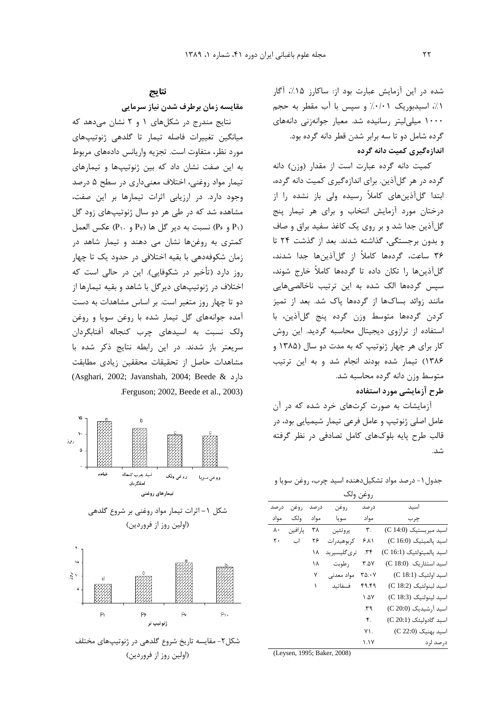شده در این آزمایش عبارت بود از: ساکارز ۱۵٪، آگار ٠١٪، اسیدبوریک ٠/٠١٪ و سیس با آب مقطر به حجم ۱۰۰۰ میلی لیتر رسانیده شد. معیار جوانهزنی دانههای گرده شامل دو تا سه برابر شدن قطر دانه گرده بود. اندازهگیری کمیت دانه گرده

كميت دانه گرده عبارت است از مقدار (وزن) دانه گرده در هر گلآذین. برای اندازهگیری کمیت دانه گرده، ابتدا گلآذینهای کاملاً رسیده ولی باز نشده را از درختان مورد آزمایش انتخاب و برای هر تیمار پنج گلآذین جدا شد و بر روی یک کاغذ سفید براق و صاف و بدون برجستگی، گذاشته شدند. بعد از گذشت ۲۴ تا ۳۶ ساعت، گردهها کاملاً از گلآذینها جدا شدند، گلآذینها را تکان داده تا گردهها کاملاً خارج شوند، سپس گردهها الک شده به این ترتیب ناخالصیهایی مانند زوائد بساكها از گردهها یاک شد. بعد از تمیز كردن گردهها متوسط وزن گرده پنج گلأذين، با استفاده از ترازوی دیجیتال محاسبه گردید. این روش کار برای هر چهار ژنوتیپ که به مدت دو سال (۱۳۸۵ و ١٣٨۶) تيمار شده بودند انجام شد و به اين ترتيب متوسط وزن دانه گرده محاسبه شد.

#### طرح آزمایشی مورد استفاده

آزمایشات به صورت کرتهای خرد شده که در آن عامل اصلی ژنوتیپ و عامل فرعی تیمار شیمیایی بود، در قالب طرح پایه بلوکهای کامل تصادفی در نظر گرفته شد.

جدول ۱ – درصد مواد تشکیل دهنده اسید چرب، روغن سویا و

| روغن ولك |          |       |              |                      |                           |
|----------|----------|-------|--------------|----------------------|---------------------------|
| در صد    | روغن     | در صد | روغن         | در صد                | اسيد                      |
| مواد     | ولک      | مواد  | سويا         | مواد                 | چرب                       |
| ٨٠       | يار افين | ٣٨    | پروتئين      | ٣.                   | اسيد ميريستيک (C 14:0)    |
| ٢٠       | اب       | ۲۶    | کر بوهیدرات  | ۶۸۱                  | اسيد بالميتيك (C 16:0)    |
|          |          | ۱۸    | تری گلیسیرید | ۰۳۴                  | اسيد پالميتولئيک (C 16:1) |
|          |          | ۱۸    | , طوبت       | ۳.۵۷                 | اسيد استئاريک (C 18:0)    |
|          |          | ٧     | مواد معدنے   | ۳۵.۰۷                | اسید اولئیک (C 18:1)      |
|          |          | ١     | فسفاتىد      | ۴۹.۴۹                | اسيد لينولئيک (C 18:2)    |
|          |          |       |              | $\Lambda$ $\Delta V$ | اسيد لينولنيک (C 18:3)    |
|          |          |       |              | ۳۹                   | اسید آرشیدیک (C 20:0)     |
|          |          |       |              | ۴.                   | اسيد گادوليئک (C 20:1)    |
|          |          |       |              | ۷١.                  | اسید بهنیک (C 22:0)       |
|          |          |       |              | ۱.۱۷                 | درصد لرد                  |

(Leysen, 1995; Baker, 2008)

#### نتايج

مقايسه زمان برطرف شدن نياز سرمايي

نتایج مندرج در شکلهای ۱ و ۲ نشان می دهد که میانگین تغییرات فاصله تیمار تا گلدهی ژنوتیپهای مورد نظر، متفاوت است. تجزیه واریانس دادههای مربوط به این صفت نشان داد که بین ژنوتیپها و تیمارهای تیمار مواد روغنی، اختلاف معنیداری در سطح ۵ درصد وجود دارد. در ارزیابی اثرات تیمارها بر این صفت، مشاهده شد که در طی هر دو سال ژنوتیپهای زود گل  $(P_2, P_3)$  و  $(P_3, P_4)$  د ير گل ها  $P_1$  و  $P_2$ ) عكس العمل کمتری به روغنها نشان می دهند و تیمار شاهد در زمان شکوفهدهی با بقیه اختلافی در حدود یک تا چهار روز دارد (تأخیر در شکوفایی). این در حالی است که اختلاف در ژنوتیپهای دیرگل با شاهد و بقیه تیمارها از دو تا چهار روز متغیر است. بر اساس مشاهدات به دست آمده جوانههای گل تیمار شده با روغن سویا و روغن ولک نسبت به اسیدهای چرب کنجاله آفتابگردان سریعتر باز شدند. در این رابطه نتایج ذکر شده با مشاهدات حاصل از تحقیقات محققین زیادی مطابقت دارد (Asghari, 2002; Javanshah, 2004; Beede & Ferguson; 2002, Beede et al., 2003).







(اولین روز از فروردین)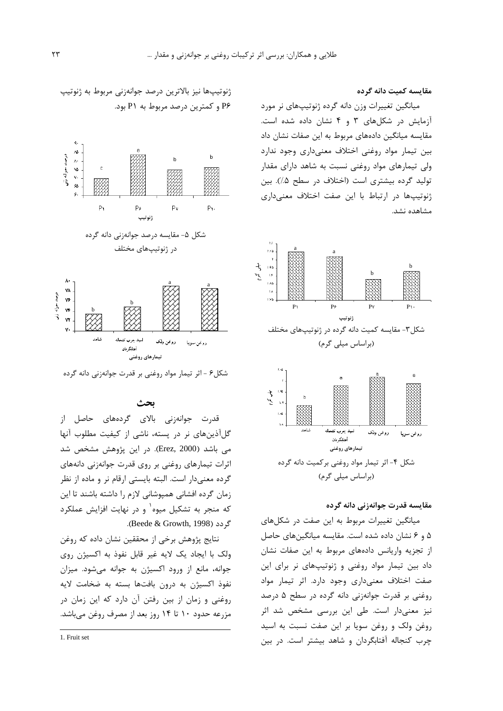مقایسه کمیت دانه گرده

میانگین تغییرات وزن دانه گرده ژنوتیپهای نر مورد آزمایش در شکلهای ۳ و ۴ نشان داده شده است. مقایسه میانگین دادههای مربوط به این صفات نشان داد بین تیمار مواد روغنی اختلاف معنیداری وجود ندارد ولی تیمارهای مواد روغنی نسبت به شاهد دارای مقدار تولید گرده بیشتری است (اختلاف در سطح ۰/۵). بین ژنوتییها در ارتباط با این صفت اختلاف معنیداری مشاهده نشد.



(براساس میلی گرم)



### مقايسه قدرت جوانهزني دانه گرده

میانگین تغییرات مربوط به این صفت در شکلهای ۵ و ۶ نشان داده شده است. مقایسه میانگینهای حاصل از تجزیه واریانس دادههای مربوط به این صفات نشان داد بين تيمار مواد روغني و ژنوتيپهاى نر براى اين صفت اختلاف معنى دارى وجود دارد. اثر تيمار مواد روغنی بر قدرت جوانهزنی دانه گرده در سطح ۵ درصد نیز معنیدار است. طی این بررسی مشخص شد اثر روغن ولک و روغن سویا بر این صفت نسبت به اسید چرب کنجاله آفتابگردان و شاهد بیشتر است. در بین

ژنوتیپها نیز بالاترین درصد جوانهزنی مربوط به ژنوتیپ P۶ و کمترین درصد مربوط به P۱ بود.



شکل۶ - اثر تیمار مواد روغنی بر قدرت جوانهزنی دانه گرده

## ىحث

قدرت جوانەزنى بالاى گردەھاى حاصل از گلآذینهای نر در پسته، ناشی از کیفیت مطلوب آنها می باشد (Erez, 2000). در این پژوهش مشخص شد اثرات تیمارهای روغنی بر روی قدرت جوانهزنی دانههای گرده معنىدار است. البته بايستى ارقام نر و ماده از نظر زمان گرده افشانی همیوشانی لازم را داشته باشند تا این که منجر به تشکیل میوه<sup>۱</sup> و در نهایت افزایش عملکرد گردد (Beede & Growth, 1998).

نتايج پژوهش برخي از محققين نشان داده كه روغن ولک با ایجاد یک لایه غیر قابل نفوذ به اکسیژن روی جوانه، مانع از ورود اکسیژن به جوانه می شود. میزان نفوذ اکسیژن به درون بافتها بسته به ضخامت لایه روغنی و زمان از بین رفتن آن دارد که این زمان در مزرعه حدود ۱۰ تا ۱۴ روز بعد از مصرف روغن می باشد.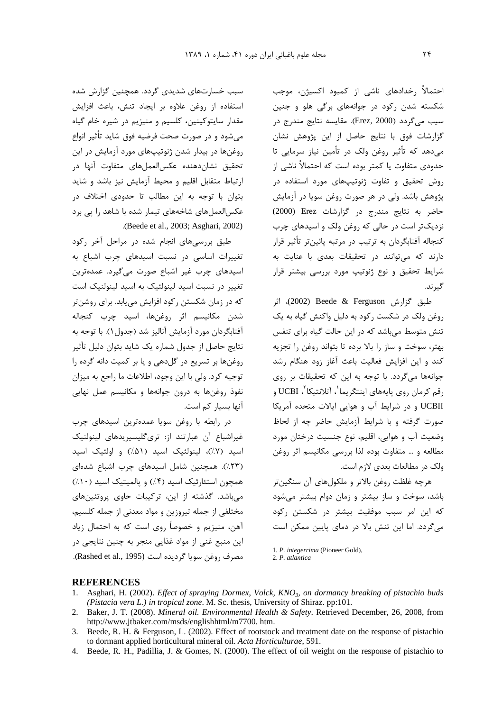احتمالاً ,خدادهای ناشی از کمبود اکسیژن، موجب شکسته شدن رکود در جوانههای برگی هلو و جنین سيب مي گردد (Erez, 2000). مقايسه نتايج مندرج در گزارشات فوق با نتايج حاصل از اين پژوهش نشان می دهد که تأثیر روغن ولک در تأمین نیاز سرمایی تا حدودی متفاوت یا کمتر بوده است که احتمالاً ناشی از روش تحقیق و تفاوت ژنوتیپهای مورد استفاده در پژوهش باشد. ولی در هر صورت روغن سویا در آزمایش حاضر به نتایج مندرج در گزارشات Erez (2000) نزدیک تر است در حالی که روغن ولک و اسیدهای چرب كنجاله آفتابگردان به ترتيب در مرتبه پائينتر تأثير قرار دارند كه مى توانند در تحقيقات بعدى با عنايت به شرایط تحقیق و نوع ژنوتیپ مورد بررسی بیشتر قرار گىرند.

طبق گزارش Beede & Ferguson (2002)، اثر روغن ولک در شکست رکود به دلیل واکنش گیاه به یک تنش متوسط می باشد که در این حالت گیاه برای تنفس بهتر، سوخت و ساز را بالا برده تا بتواند روغن را تجزیه کند و این افزایش فعالیت باعث آغاز زود هنگام رشد جوانهها می گردد. با توجه به این که تحقیقات بر روی رقم كرمان روي پايەھاي اينتگريما<sup>'</sup>، آتلانتيكا<sup>۲</sup>، UCBI و UCBII و در شرایط آب و هوایی ایالات متحده آمریکا صورت گرفته و با شرایط آزمایش حاضر چه از لحاظ وضعیت آب و هوایی، اقلیم، نوع جنسیت درختان مورد مطالعه و … متفاوت بوده لذا بررسی مکانیسم اثر روغن ولک در مطالعات بعدی لازم است.

هرچه غلظت روغن بالاتر و ملکولهای آن سنگینتر باشد، سوخت و ساز بیشتر و زمان دوام بیشتر می شود که این امر سبب موفقیت بیشتر در شکستن رکود می گردد. اما این تنش بالا در دمای پایین ممکن است

1. P. integerrima (Pioneer Gold),

2. P. atlantica

**REFERENCES** 

- 1. Asghari, H. (2002). Effect of spraying Dormex, Volck, KNO<sub>3</sub>, on dormancy breaking of pistachio buds (Pistacia vera L.) in tropical zone. M. Sc. thesis, University of Shiraz. pp:101.
- 2. Baker, J. T. (2008). Mineral oil. Environmental Health & Safety. Retrieved December, 26, 2008, from http://www.jtbaker.com/msds/englishhtml/m7700.htm.
- 3. Beede, R. H. & Ferguson, L. (2002). Effect of rootstock and treatment date on the response of pistachio to dormant applied horticultural mineral oil. Acta Horticulturae, 591.
- 4. Beede, R. H., Padillia, J. & Gomes, N. (2000). The effect of oil weight on the response of pistachio to

سبب خسارتهای شدیدی گردد. همچنین گزارش شده استفاده از روغن علاوه بر ایجاد تنش، باعث افزایش مقدار سايتوکينين، کلسيم و منيزيم در شيره خام گياه مي شود و در صورت صحت فرضيه فوق شايد تأثير انواع روغنها در بیدار شدن ژنوتیپهای مورد آزمایش در این تحقيق نشاندهنده عكسالعملهاى متفاوت آنها د<sub>ر</sub> ارتباط متقابل اقلیم و محیط آزمایش نیز باشد و شاید بتوان با توجه به این مطالب تا حدودی اختلاف در عکسالعملهای شاخههای تیمار شده با شاهد را یی برد .(Beede et al., 2003; Asghari, 2002).

طبق بررسیهای انجام شده در مراحل آخر رکود تغییرات اساسی در نسبت اسیدهای چرب اشباع به اسیدهای چرب غیر اشباع صورت میگیرد. عمدهترین تغییر در نسبت اسید لینولئیک به اسید لینولنیک است که در زمان شکستن رکود افزایش می یابد. برای روشن تر شدن مكانيسم اثر روغنها، اسيد چرب كنجاله آفتابگردان مورد آزمایش آنالیز شد (جدول ۱). با توجه به نتايج حاصل از جدول شماره يک شايد بتوان دليل تأثير روغنها بر تسریع در گل هی و یا بر کمیت دانه گرده را توجيه كرد. ولي با اين وجود، اطلاعات ما راجع به ميزان نفوذ روغنها به درون جوانهها و مكانيسم عمل نهايي آنها بسیار کم است.

در رابطه با روغن سويا عمدهترين اسيدهاى چرب غیراشباع آن عبارتند از: تریگلیسیریدهای لینولنیک اسيد (٧٪)، لينولئيک اسيد (۵۱٪) و اولئيک اسيد (٢٣٪). همچنین شامل اسیدهای چرب اشباع شدهای همچون استئارئیک اسید (۴٪) و پالمیتیک اسید (۱۰٪) می باشد. گذشته از این، ترکیبات حاوی پروتئینهای مختلفي از جمله تيروزين و مواد معدني از جمله كلسيم، آهن، منيزيم و خصوصاً روى است كه به احتمال زياد این منبع غنی از مواد غذایی منجر به چنین نتایجی در مصرف روغن سويا گرديده است (Rashed et al., 1995).